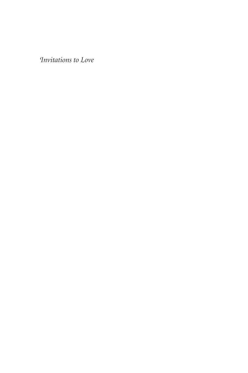Invitations to Love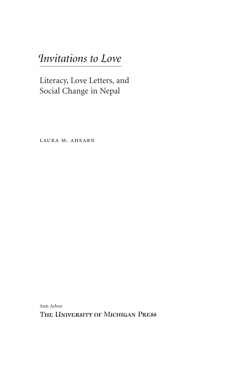# Invitations to Love

Literacy, Love Letters, and Social Change in Nepal

LAURA M. AHEARN

Ann Arbor THE UNIVERSITY OF MICHIGAN PRESS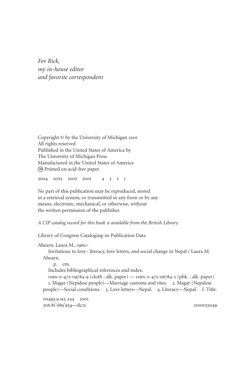*For Rick, my in-house editor and favorite correspondent*

Copyright © by the University of Michigan 2001 All rights reserved Published in the United States of America by The University of Michigan Press Manufactured in the United States of America ∞ Printed on acid-free paper

2004 2003 2002 2001 4 3 2 1

No part of this publication may be reproduced, stored in a retrieval system, or transmitted in any form or by any means, electronic, mechanical, or otherwise, without the written permission of the publisher.

*A CIP catalog record for this book is available from the British Library.*

Library of Congress Cataloging-in-Publication Data

Ahearn, Laura M., 1962– Invitations to love : literacy, love letters, and social change in Nepal / Laura M. Ahearn. p. cm. Includes bibliographical references and index. isbn 0-472-09784-9 (cloth : alk. paper) — isbn 0-472-06784-2 (pbk. : alk. paper) 1. Magar (Nepalese people)—Marriage customs and rites. 2. Magar (Nepalese people)—Social conditions. 3. Love letters—Nepal. 4. Literacy—Nepal. I. Title. DS493.9.M3 A54 2001 306.81'089'954—dc21 2001053049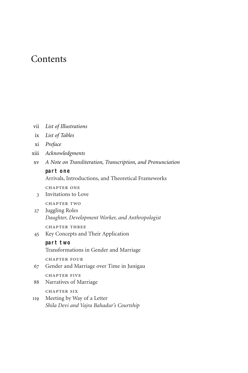### **Contents**

| List of Illustrations<br>V11 |  |
|------------------------------|--|
|------------------------------|--|

- ix *List of Tables*
- xi *Preface*
- xiii *Acknowledgments*
- xv *A Note on Transliteration, Transcription, and Pronunciation*

#### **part one**

Arrivals, Introductions, and Theoretical Frameworks

chapter one

3 Invitations to Love

chapter two

27 Juggling Roles *Daughter, Development Worker, and Anthropologist*

chapter three

45 Key Concepts and Their Application

#### **part two**

Transformations in Gender and Marriage

chapter four

67 Gender and Marriage over Time in Junigau

CHAPTER FIVE

88 Narratives of Marriage

chapter six

119 Meeting by Way of a Letter *Shila Devi and Vajra Bahadur's Courtship*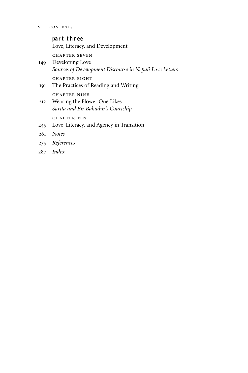### **part three** Love, Literacy, and Development chapter seven 149 Developing Love *Sources of Development Discourse in Nepali Love Letters* chapter eight 191 The Practices of Reading and Writing chapter nine 212 Wearing the Flower One Likes *Sarita and Bir Bahadur's Courtship* chapter ten 245 Love, Literacy, and Agency in Transition 261 *Notes* 275 *References* 287 *Index*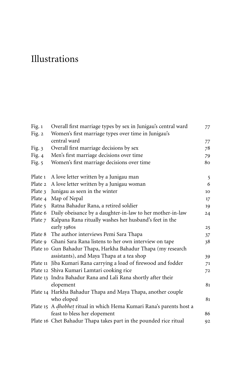## Illustrations

| Fig. $1$ | Overall first marriage types by sex in Junigau's central ward        | 77 |
|----------|----------------------------------------------------------------------|----|
| Fig. 2   | Women's first marriage types over time in Junigau's                  |    |
|          | central ward                                                         | 77 |
| Fig. $3$ | Overall first marriage decisions by sex                              | 78 |
| Fig. $4$ | Men's first marriage decisions over time                             | 79 |
| Fig. $5$ | Women's first marriage decisions over time                           | 80 |
| Plate 1  | A love letter written by a Junigau man                               | 5  |
| Plate 2  | A love letter written by a Junigau woman                             | 6  |
| Plate 3  | Junigau as seen in the winter                                        | 10 |
| Plate 4  | Map of Nepal                                                         | 17 |
| Plate 5  | Ratna Bahadur Rana, a retired soldier                                | 19 |
| Plate 6  | Daily obeisance by a daughter-in-law to her mother-in-law            | 24 |
| Plate 7  | Kalpana Rana ritually washes her husband's feet in the               |    |
|          | early 1980s                                                          | 25 |
| Plate 8  | The author interviews Pemi Sara Thapa                                | 37 |
| Plate 9  | Ghani Sara Rana listens to her own interview on tape                 | 38 |
|          | Plate 10 Gun Bahadur Thapa, Harkha Bahadur Thapa (my research        |    |
|          | assistants), and Maya Thapa at a tea shop                            | 39 |
|          | Plate 11 Jiba Kumari Rana carrying a load of firewood and fodder     | 71 |
|          | Plate 12 Shiva Kumari Lamtari cooking rice                           | 72 |
|          | Plate 13 Indra Bahadur Rana and Lali Rana shortly after their        |    |
|          | elopement                                                            | 81 |
|          | Plate 14 Harkha Bahadur Thapa and Maya Thapa, another couple         |    |
|          | who eloped                                                           | 81 |
|          | Plate 15 A dhobhet ritual in which Hema Kumari Rana's parents host a |    |
|          | feast to bless her elopement                                         | 86 |
|          | Plate 16 Chet Bahadur Thapa takes part in the pounded rice ritual    | 92 |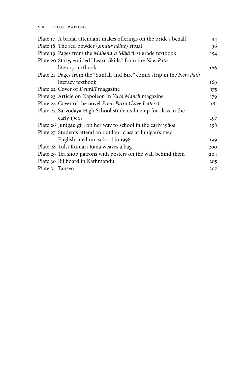|                 | Plate 17 A bridal attendant makes offerings on the bride's behalf      | 94  |
|-----------------|------------------------------------------------------------------------|-----|
|                 | Plate 18 The red powder (sindur hālne) ritual                          | 96  |
|                 | Plate 19 Pages from the Mahendra Mālā first grade textbook             | 154 |
|                 | Plate 20 Story, entitled "Learn Skills," from the New Path             |     |
|                 | literacy textbook                                                      | 166 |
|                 | Plate 21 Pages from the "Suntali and Bire" comic strip in the New Path |     |
|                 | literacy textbook                                                      | 169 |
|                 | Plate 22 Cover of Deurālī magazine                                     | 175 |
|                 | Plate 23 Article on Napoleon in Yuvā Manch magazine                    | 179 |
|                 | Plate 24 Cover of the novel Prem Patra (Love Letters)                  | 181 |
|                 | Plate 25 Sarvodaya High School students line up for class in the       |     |
|                 | early 1980s                                                            | 197 |
|                 | Plate 26 Junigau girl on her way to school in the early 1980s          | 198 |
|                 | Plate 27 Students attend an outdoor class at Junigau's new             |     |
|                 | English-medium school in 1998                                          | 199 |
|                 | Plate 28 Tulsi Kumari Rana weaves a bag                                | 200 |
|                 | Plate 29 Tea shop patrons with posters on the wall behind them         | 204 |
|                 | Plate 30 Billboard in Kathmandu                                        | 205 |
| Plate 31 Tansen |                                                                        | 207 |